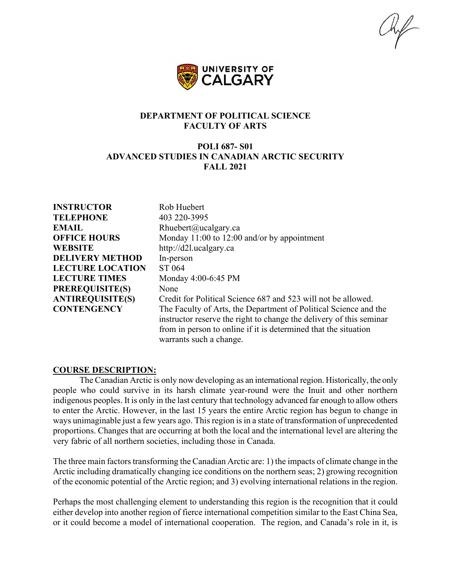$\mathbb{Z}/\mathbb{Z}$ 



## **DEPARTMENT OF POLITICAL SCIENCE FACULTY OF ARTS**

## **POLI 687- S01 ADVANCED STUDIES IN CANADIAN ARCTIC SECURITY FALL 2021**

**INSTRUCTOR** Rob Huebert **TELEPHONE** 403 220-3995 **EMAIL** Rhuebert@ucalgary.ca **WEBSITE** http://d2l.ucalgary.ca **DELIVERY METHOD** In-person **LECTURE LOCATION** ST 064 LECTURE TIMES Monday 4:00-6:45 PM **PREREQUISITE(S)** None

**OFFICE HOURS** Monday 11:00 to 12:00 and/or by appointment **ANTIREQUISITE(S)** Credit for Political Science 687 and 523 will not be allowed. **CONTENGENCY** The Faculty of Arts, the Department of Political Science and the instructor reserve the right to change the delivery of this seminar from in person to online if it is determined that the situation warrants such a change.

#### **COURSE DESCRIPTION:**

The Canadian Arctic is only now developing as an international region. Historically, the only people who could survive in its harsh climate year-round were the Inuit and other northern indigenous peoples. It is only in the last century that technology advanced far enough to allow others to enter the Arctic. However, in the last 15 years the entire Arctic region has begun to change in ways unimaginable just a few years ago. This region is in a state of transformation of unprecedented proportions. Changes that are occurring at both the local and the international level are altering the very fabric of all northern societies, including those in Canada.

The three main factors transforming the Canadian Arctic are: 1) the impacts of climate change in the Arctic including dramatically changing ice conditions on the northern seas; 2) growing recognition of the economic potential of the Arctic region; and 3) evolving international relations in the region.

Perhaps the most challenging element to understanding this region is the recognition that it could either develop into another region of fierce international competition similar to the East China Sea, or it could become a model of international cooperation. The region, and Canada's role in it, is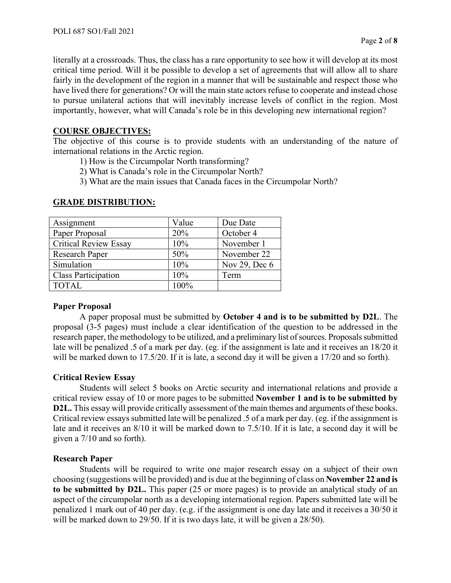literally at a crossroads. Thus, the class has a rare opportunity to see how it will develop at its most critical time period. Will it be possible to develop a set of agreements that will allow all to share fairly in the development of the region in a manner that will be sustainable and respect those who have lived there for generations? Or will the main state actors refuse to cooperate and instead chose to pursue unilateral actions that will inevitably increase levels of conflict in the region. Most importantly, however, what will Canada's role be in this developing new international region?

## **COURSE OBJECTIVES:**

The objective of this course is to provide students with an understanding of the nature of international relations in the Arctic region.

1) How is the Circumpolar North transforming?

2) What is Canada's role in the Circumpolar North?

3) What are the main issues that Canada faces in the Circumpolar North?

| Assignment                   | Value | Due Date      |
|------------------------------|-------|---------------|
| Paper Proposal               | 20%   | October 4     |
| <b>Critical Review Essay</b> | 10%   | November 1    |
| <b>Research Paper</b>        | 50%   | November 22   |
| Simulation                   | 10%   | Nov 29, Dec 6 |
| <b>Class Participation</b>   | 10%   | Term          |
| <b>TOTAL</b>                 | 100%  |               |
|                              |       |               |

## **GRADE DISTRIBUTION:**

# **Paper Proposal**

A paper proposal must be submitted by **October 4 and is to be submitted by D2L**. The proposal (3-5 pages) must include a clear identification of the question to be addressed in the research paper, the methodology to be utilized, and a preliminary list of sources. Proposals submitted late will be penalized .5 of a mark per day. (eg. if the assignment is late and it receives an 18/20 it will be marked down to 17.5/20. If it is late, a second day it will be given a 17/20 and so forth).

#### **Critical Review Essay**

Students will select 5 books on Arctic security and international relations and provide a critical review essay of 10 or more pages to be submitted **November 1 and is to be submitted by D2L.** This essay will provide critically assessment of the main themes and arguments of these books. Critical review essays submitted late will be penalized .5 of a mark per day. (eg. if the assignment is late and it receives an 8/10 it will be marked down to 7.5/10. If it is late, a second day it will be given a 7/10 and so forth).

#### **Research Paper**

Students will be required to write one major research essay on a subject of their own choosing (suggestions will be provided) and is due at the beginning of class on **November 22 and is to be submitted by D2L.** This paper (25 or more pages) is to provide an analytical study of an aspect of the circumpolar north as a developing international region. Papers submitted late will be penalized 1 mark out of 40 per day. (e.g. if the assignment is one day late and it receives a 30/50 it will be marked down to 29/50. If it is two days late, it will be given a 28/50).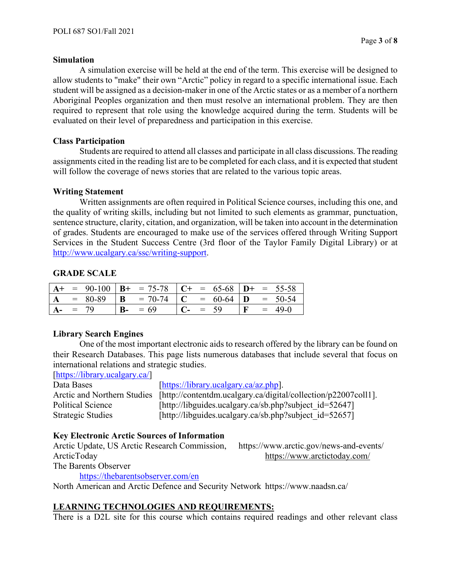#### **Simulation**

A simulation exercise will be held at the end of the term. This exercise will be designed to allow students to "make" their own "Arctic" policy in regard to a specific international issue. Each student will be assigned as a decision-maker in one of the Arctic states or as a member of a northern Aboriginal Peoples organization and then must resolve an international problem. They are then required to represent that role using the knowledge acquired during the term. Students will be evaluated on their level of preparedness and participation in this exercise.

#### **Class Participation**

Students are required to attend all classes and participate in all class discussions. The reading assignments cited in the reading list are to be completed for each class, and it is expected that student will follow the coverage of news stories that are related to the various topic areas.

#### **Writing Statement**

Written assignments are often required in Political Science courses, including this one, and the quality of writing skills, including but not limited to such elements as grammar, punctuation, sentence structure, clarity, citation, and organization, will be taken into account in the determination of grades. Students are encouraged to make use of the services offered through Writing Support Services in the Student Success Centre (3rd floor of the Taylor Family Digital Library) or at [http://www.ucalgary.ca/ssc/writing-support.](http://www.ucalgary.ca/ssc/writing-support)

# **GRADE SCALE**

|              |  | $A+$ = 90-100   B+ = 75-78   C+ = 65-68   D+ = 55-58                                      |            |  |              |          |
|--------------|--|-------------------------------------------------------------------------------------------|------------|--|--------------|----------|
| $\Delta$     |  | $\overline{\phantom{0}}$ = 80-89   <b>B</b> = 70-74   <b>C</b> = 60-64   <b>D</b> = 50-54 |            |  |              |          |
| $A_{-}$ = 79 |  | $B - = 69$                                                                                | $C - = 59$ |  | $\mathbf{F}$ | $= 49-0$ |

# **Library Search Engines**

One of the most important electronic aids to research offered by the library can be found on their Research Databases. This page lists numerous databases that include several that focus on international relations and strategic studies.

[\[https://library.ucalgary.ca/\]](https://library.ucalgary.ca/)

Data Bases [\[https://library.ucalgary.ca/az.php\]](https://library.ucalgary.ca/az.php).

Arctic and Northern Studies [http://contentdm.ucalgary.ca/digital/collection/p22007coll1]. Political Science [http://libguides.ucalgary.ca/sb.php?subject\_id=52647] Strategic Studies [http://libguides.ucalgary.ca/sb.php?subject\_id=52657]

# **Key Electronic Arctic Sources of Information**

Arctic Update, US Arctic Research Commission, https://www.arctic.gov/news-and-events/ ArcticToday https://www.arctictoday.com/

The Barents Observer

<https://thebarentsobserver.com/en>

North American and Arctic Defence and Security Network https://www.naadsn.ca/

# **LEARNING TECHNOLOGIES AND REQUIREMENTS:**

There is a D2L site for this course which contains required readings and other relevant class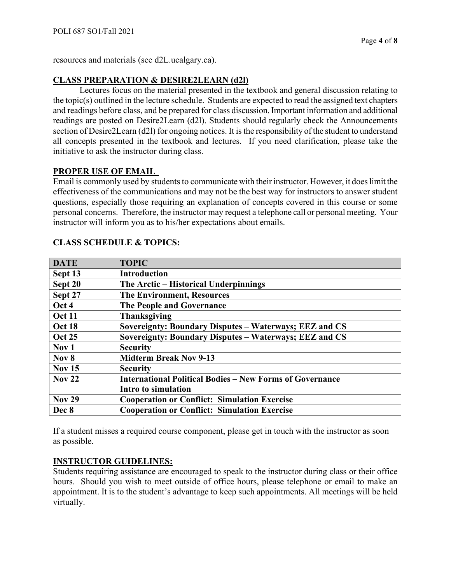resources and materials (see d2L.ucalgary.ca).

# **CLASS PREPARATION & DESIRE2LEARN (d2l)**

Lectures focus on the material presented in the textbook and general discussion relating to the topic(s) outlined in the lecture schedule. Students are expected to read the assigned text chapters and readings before class, and be prepared for class discussion. Important information and additional readings are posted on Desire2Learn (d2l). Students should regularly check the Announcements section of Desire2Learn (d2l) for ongoing notices. It is the responsibility of the student to understand all concepts presented in the textbook and lectures. If you need clarification, please take the initiative to ask the instructor during class.

## **PROPER USE OF EMAIL**

Email is commonly used by students to communicate with their instructor. However, it does limit the effectiveness of the communications and may not be the best way for instructors to answer student questions, especially those requiring an explanation of concepts covered in this course or some personal concerns. Therefore, the instructor may request a telephone call or personal meeting. Your instructor will inform you as to his/her expectations about emails.

| <b>DATE</b>      | <b>TOPIC</b>                                                    |
|------------------|-----------------------------------------------------------------|
| Sept 13          | <b>Introduction</b>                                             |
| Sept 20          | The Arctic – Historical Underpinnings                           |
| Sept 27          | <b>The Environment, Resources</b>                               |
| Oct 4            | The People and Governance                                       |
| <b>Oct 11</b>    | <b>Thanksgiving</b>                                             |
| Oct 18           | Sovereignty: Boundary Disputes – Waterways; EEZ and CS          |
| <b>Oct 25</b>    | Sovereignty: Boundary Disputes - Waterways; EEZ and CS          |
| Nov <sub>1</sub> | <b>Security</b>                                                 |
| Nov <sub>8</sub> | <b>Midterm Break Nov 9-13</b>                                   |
| <b>Nov 15</b>    | <b>Security</b>                                                 |
| <b>Nov 22</b>    | <b>International Political Bodies – New Forms of Governance</b> |
|                  | Intro to simulation                                             |
| <b>Nov 29</b>    | <b>Cooperation or Conflict: Simulation Exercise</b>             |
| Dec 8            | <b>Cooperation or Conflict: Simulation Exercise</b>             |

# **CLASS SCHEDULE & TOPICS:**

If a student misses a required course component, please get in touch with the instructor as soon as possible.

# **INSTRUCTOR GUIDELINES:**

Students requiring assistance are encouraged to speak to the instructor during class or their office hours. Should you wish to meet outside of office hours, please telephone or email to make an appointment. It is to the student's advantage to keep such appointments. All meetings will be held virtually.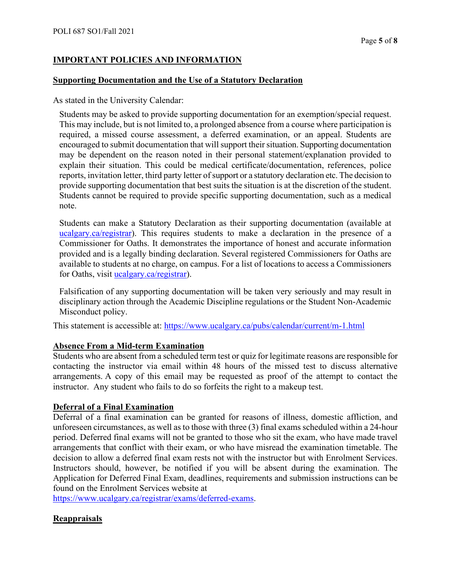## **IMPORTANT POLICIES AND INFORMATION**

#### **Supporting Documentation and the Use of a Statutory Declaration**

As stated in the University Calendar:

Students may be asked to provide supporting documentation for an exemption/special request. This may include, but is not limited to, a prolonged absence from a course where participation is required, a missed course assessment, a deferred examination, or an appeal. Students are encouraged to submit documentation that will support their situation. Supporting documentation may be dependent on the reason noted in their personal statement/explanation provided to explain their situation. This could be medical certificate/documentation, references, police reports, invitation letter, third party letter of support or a statutory declaration etc. The decision to provide supporting documentation that best suits the situation is at the discretion of the student. Students cannot be required to provide specific supporting documentation, such as a medical note.

Students can make a Statutory Declaration as their supporting documentation (available at ucalgary.ca/registrar). This requires students to make a declaration in the presence of a Commissioner for Oaths. It demonstrates the importance of honest and accurate information provided and is a legally binding declaration. Several registered Commissioners for Oaths are available to students at no charge, on campus. For a list of locations to access a Commissioners for Oaths, visit [ucalgary.ca/registrar\)](http://www.ucalgary.ca/registrar).

Falsification of any supporting documentation will be taken very seriously and may result in disciplinary action through the Academic Discipline regulations or the Student Non-Academic Misconduct policy.

This statement is accessible at:<https://www.ucalgary.ca/pubs/calendar/current/m-1.html>

#### **Absence From a Mid-term Examination**

Students who are absent from a scheduled term test or quiz for legitimate reasons are responsible for contacting the instructor via email within 48 hours of the missed test to discuss alternative arrangements. A copy of this email may be requested as proof of the attempt to contact the instructor. Any student who fails to do so forfeits the right to a makeup test.

#### **Deferral of a Final Examination**

Deferral of a final examination can be granted for reasons of illness, domestic affliction, and unforeseen circumstances, as well as to those with three (3) final exams scheduled within a 24-hour period. Deferred final exams will not be granted to those who sit the exam, who have made travel arrangements that conflict with their exam, or who have misread the examination timetable. The decision to allow a deferred final exam rests not with the instructor but with Enrolment Services. Instructors should, however, be notified if you will be absent during the examination. The Application for Deferred Final Exam, deadlines, requirements and submission instructions can be found on the Enrolment Services website at

[https://www.ucalgary.ca/registrar/exams/deferred-exams.](https://www.ucalgary.ca/registrar/exams/deferred-exams)

#### **Reappraisals**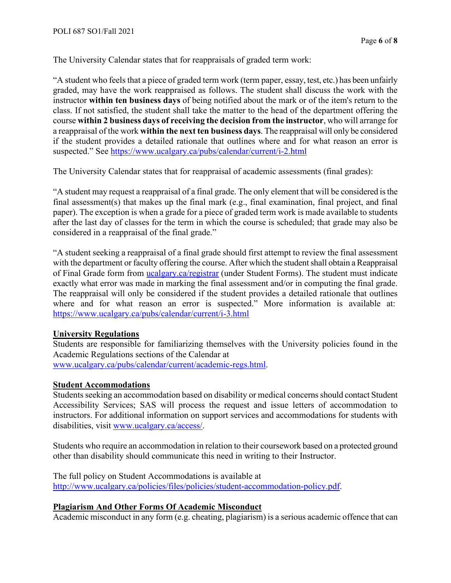The University Calendar states that for reappraisals of graded term work:

"A student who feels that a piece of graded term work (term paper, essay, test, etc.) has been unfairly graded, may have the work reappraised as follows. The student shall discuss the work with the instructor **within ten business days** of being notified about the mark or of the item's return to the class. If not satisfied, the student shall take the matter to the head of the department offering the course **within 2 business days of receiving the decision from the instructor**, who will arrange for a reappraisal of the work **within the next ten business days**. The reappraisal will only be considered if the student provides a detailed rationale that outlines where and for what reason an error is suspected." See<https://www.ucalgary.ca/pubs/calendar/current/i-2.html>

The University Calendar states that for reappraisal of academic assessments (final grades):

"A student may request a reappraisal of a final grade. The only element that will be considered is the final assessment(s) that makes up the final mark (e.g., final examination, final project, and final paper). The exception is when a grade for a piece of graded term work is made available to students after the last day of classes for the term in which the course is scheduled; that grade may also be considered in a reappraisal of the final grade."

"A student seeking a reappraisal of a final grade should first attempt to review the final assessment with the department or faculty offering the course. After which the student shall obtain a Reappraisal of Final Grade form from [ucalgary.ca/registrar](https://www.ucalgary.ca/registrar/home) (under Student Forms). The student must indicate exactly what error was made in marking the final assessment and/or in computing the final grade. The reappraisal will only be considered if the student provides a detailed rationale that outlines where and for what reason an error is suspected." More information is available at: <https://www.ucalgary.ca/pubs/calendar/current/i-3.html>

#### **University Regulations**

Students are responsible for familiarizing themselves with the University policies found in the Academic Regulations sections of the Calendar at [www.ucalgary.ca/pubs/calendar/current/academic-regs.html.](http://www.ucalgary.ca/pubs/calendar/current/academic-regs.html)

#### **Student Accommodations**

Students seeking an accommodation based on disability or medical concerns should contact Student Accessibility Services; SAS will process the request and issue letters of accommodation to instructors. For additional information on support services and accommodations for students with disabilities, visit [www.ucalgary.ca/access/.](http://www.ucalgary.ca/access/)

Students who require an accommodation in relation to their coursework based on a protected ground other than disability should communicate this need in writing to their Instructor.

The full policy on Student Accommodations is available at [http://www.ucalgary.ca/policies/files/policies/student-accommodation-policy.pdf.](http://www.ucalgary.ca/policies/files/policies/student-accommodation-policy.pdf)

## **Plagiarism And Other Forms Of Academic Misconduct**

Academic misconduct in any form (e.g. cheating, plagiarism) is a serious academic offence that can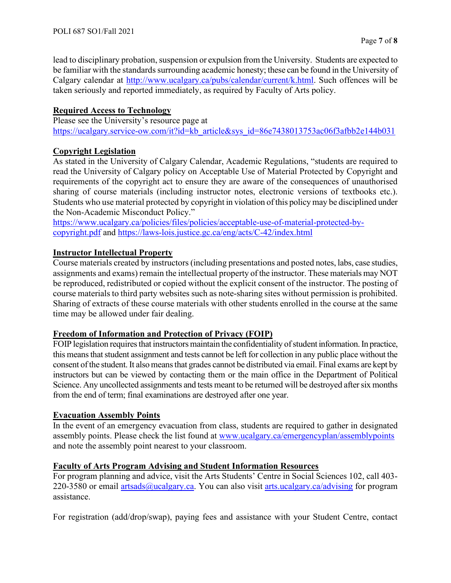lead to disciplinary probation, suspension or expulsion from the University. Students are expected to be familiar with the standards surrounding academic honesty; these can be found in the University of Calgary calendar at [http://www.ucalgary.ca/pubs/calendar/current/k.html.](http://www.ucalgary.ca/pubs/calendar/current/k.html) Such offences will be taken seriously and reported immediately, as required by Faculty of Arts policy.

# **Required Access to Technology**

Please see the University's resource page at [https://ucalgary.service-ow.com/it?id=kb\\_article&sys\\_id=86e7438013753ac06f3afbb2e144b031](https://ucalgary.service-ow.com/it?id=kb_article&sys_id=86e7438013753ac06f3afbb2e144b031)

# **Copyright Legislation**

As stated in the University of Calgary Calendar, Academic Regulations, "students are required to read the University of Calgary policy on Acceptable Use of Material Protected by Copyright and requirements of the copyright act to ensure they are aware of the consequences of unauthorised sharing of course materials (including instructor notes, electronic versions of textbooks etc.). Students who use material protected by copyright in violation of this policy may be disciplined under the Non-Academic Misconduct Policy."

[https://www.ucalgary.ca/policies/files/policies/acceptable-use-of-material-protected-by](https://www.ucalgary.ca/policies/files/policies/acceptable-use-of-material-protected-by-copyright.pdf)[copyright.pdf](https://www.ucalgary.ca/policies/files/policies/acceptable-use-of-material-protected-by-copyright.pdf) and<https://laws-lois.justice.gc.ca/eng/acts/C-42/index.html>

# **Instructor Intellectual Property**

Course materials created by instructors (including presentations and posted notes, labs, case studies, assignments and exams) remain the intellectual property of the instructor. These materials may NOT be reproduced, redistributed or copied without the explicit consent of the instructor. The posting of course materials to third party websites such as note-sharing sites without permission is prohibited. Sharing of extracts of these course materials with other students enrolled in the course at the same time may be allowed under fair dealing.

# **Freedom of Information and Protection of Privacy (FOIP)**

FOIP legislation requires that instructors maintain the confidentiality of student information. In practice, this means that student assignment and tests cannot be left for collection in any public place without the consent of the student. It also means that grades cannot be distributed via email. Final exams are kept by instructors but can be viewed by contacting them or the main office in the Department of Political Science. Any uncollected assignments and tests meant to be returned will be destroyed after six months from the end of term; final examinations are destroyed after one year.

# **Evacuation Assembly Points**

In the event of an emergency evacuation from class, students are required to gather in designated assembly points. Please check the list found at [www.ucalgary.ca/emergencyplan/assemblypoints](http://www.ucalgary.ca/emergencyplan/assemblypoints) and note the assembly point nearest to your classroom.

# **Faculty of Arts Program Advising and Student Information Resources**

For program planning and advice, visit the Arts Students' Centre in Social Sciences 102, call 403 220-3580 or email [artsads@ucalgary.ca.](mailto:artsads@ucalgary.ca) You can also visit [arts.ucalgary.ca/advising](http://arts.ucalgary.ca/advising) for program assistance.

For registration (add/drop/swap), paying fees and assistance with your Student Centre, contact